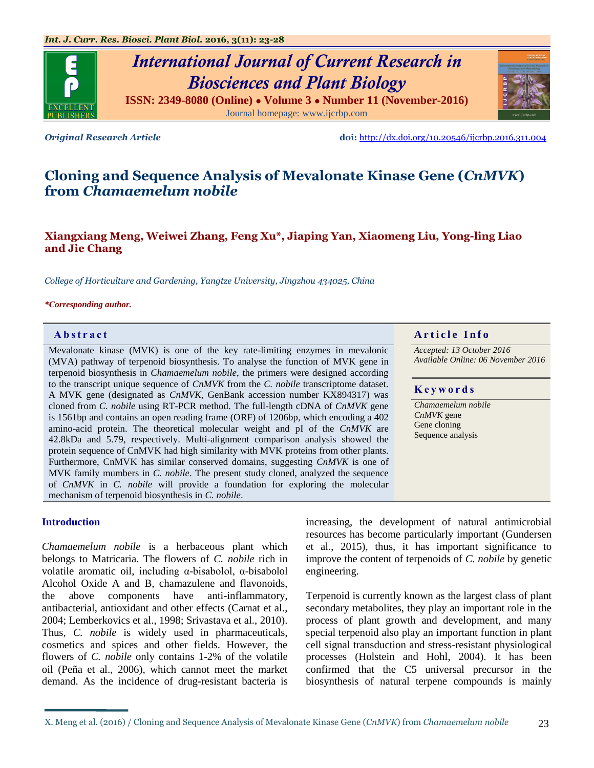# *International Journal of Current Research in Biosciences and Plant Biology*

**ISSN: 2349-8080 (Online) ● Volume 3 ● Number 11 (November-2016)** Journal homepage: [www.ijcrbp.com](http://www.ijcrbp.com/)

*Original Research Article* **doi:** <http://dx.doi.org/10.20546/ijcrbp.2016.311.004>

# **Cloning and Sequence Analysis of Mevalonate Kinase Gene (***CnMVK***) from** *Chamaemelum nobile*

# **Xiangxiang Meng, Weiwei Zhang, Feng Xu\*, Jiaping Yan, Xiaomeng Liu, Yong-ling Liao and Jie Chang**

*College of Horticulture and Gardening, Yangtze University, Jingzhou 434025, China*

#### *\*Corresponding author.*

Mevalonate kinase (MVK) is one of the key rate-limiting enzymes in mevalonic (MVA) pathway of terpenoid biosynthesis. To analyse the function of MVK gene in terpenoid biosynthesis in *Chamaemelum nobile*, the primers were designed according to the transcript unique sequence of *CnMVK* from the *C. nobile* transcriptome dataset. A MVK gene (designated as *CnMVK*, GenBank accession number KX894317) was cloned from *C. nobile* using RT-PCR method. The full-length cDNA of *CnMVK* gene is 1561bp and contains an open reading frame (ORF) of 1206bp, which encoding a 402 amino-acid protein. The theoretical molecular weight and pI of the *CnMVK* are 42.8kDa and 5.79, respectively. Multi-alignment comparison analysis showed the protein sequence of CnMVK had high similarity with MVK proteins from other plants. Furthermore, CnMVK has similar conserved domains, suggesting *CnMVK* is one of MVK family mumbers in *C. nobile*. The present study cloned, analyzed the sequence of *CnMVK* in *C. nobile* will provide a foundation for exploring the molecular mechanism of terpenoid biosynthesis in *C. nobile*.

#### **Introduction**

*Chamaemelum nobile* is a herbaceous plant which belongs to Matricaria. The flowers of *C. nobile* rich in volatile aromatic oil, including α-bisabolol, α-bisabolol Alcohol Oxide A and B, chamazulene and flavonoids, the above components have anti-inflammatory, antibacterial, antioxidant and other effects (Carnat et al., 2004; Lemberkovics et al., 1998; Srivastava et al., 2010). Thus, *C. nobile* is widely used in pharmaceuticals, cosmetics and spices and other fields. However, the flowers of *C. nobile* only contains 1-2% of the volatile oil (Peña et al., 2006), which cannot meet the market demand. As the incidence of drug-resistant bacteria is

increasing, the development of natural antimicrobial resources has become particularly important (Gundersen et al., 2015), thus, it has important significance to improve the content of terpenoids of *C. nobile* by genetic engineering.

Terpenoid is currently known as the largest class of plant secondary metabolites, they play an important role in the process of plant growth and development, and many special terpenoid also play an important function in plant cell signal transduction and stress-resistant physiological processes (Holstein and Hohl, 2004). It has been confirmed that the C5 universal precursor in the biosynthesis of natural terpene compounds is mainly

# **Abstract A A** r **i** c *A A* **r i c <b>***A A A A A A A A A A A A A*

*Accepted: 13 October 2016 Available Online: 06 November 2016*

#### **K e y w o r d s**

*Chamaemelum nobile CnMVK* gene Gene cloning Sequence analysis

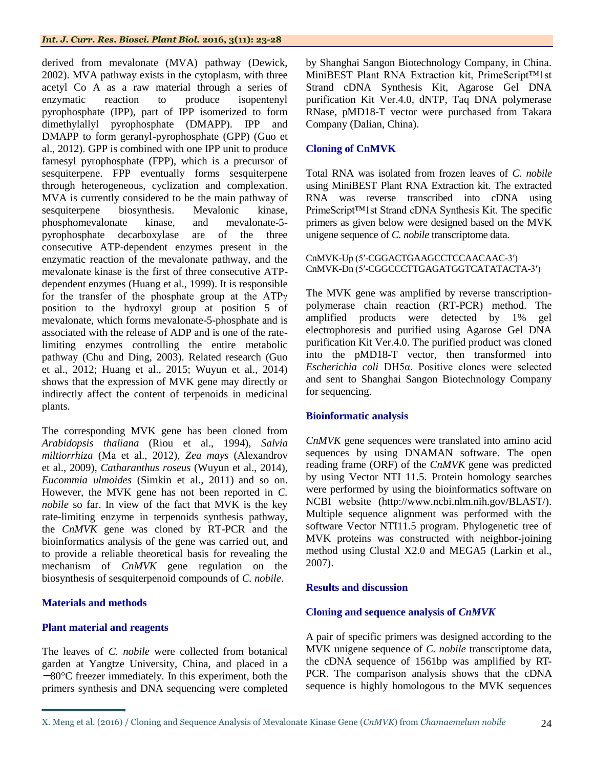#### *Int. J. Curr. Res. Biosci. Plant Biol.* **2016, 3(11): 23-28**

derived from mevalonate (MVA) pathway (Dewick, 2002). MVA pathway exists in the cytoplasm, with three acetyl Co A as a raw material through a series of enzymatic reaction to produce isopentenyl pyrophosphate (IPP), part of IPP isomerized to form dimethylallyl pyrophosphate (DMAPP). IPP and DMAPP to form geranyl-pyrophosphate (GPP) (Guo et al., 2012). GPP is combined with one IPP unit to produce farnesyl pyrophosphate (FPP), which is a precursor of sesquiterpene. FPP eventually forms sesquiterpene through heterogeneous, cyclization and complexation. MVA is currently considered to be the main pathway of sesquiterpene biosynthesis. Mevalonic kinase, phosphomevalonate kinase, and mevalonate-5 pyrophosphate decarboxylase are of the three consecutive ATP-dependent enzymes present in the enzymatic reaction of the mevalonate pathway, and the mevalonate kinase is the first of three consecutive ATPdependent enzymes (Huang et al., 1999). It is responsible for the transfer of the phosphate group at the ATPγ position to the hydroxyl group at position 5 of mevalonate, which forms mevalonate-5-phosphate and is associated with the release of ADP and is one of the ratelimiting enzymes controlling the entire metabolic pathway (Chu and Ding, 2003). Related research (Guo et al., 2012; Huang et al., 2015; Wuyun et al., 2014) shows that the expression of MVK gene may directly or indirectly affect the content of terpenoids in medicinal plants.

The corresponding MVK gene has been cloned from *Arabidopsis thaliana* (Riou et al., 1994), *Salvia miltiorrhiza* (Ma et al., 2012), *Zea mays* (Alexandrov et al., 2009), *Catharanthus roseus* (Wuyun et al., 2014), *Eucommia ulmoides* (Simkin et al., 2011) and so on. However, the MVK gene has not been reported in *C. nobile* so far. In view of the fact that MVK is the key rate-limiting enzyme in terpenoids synthesis pathway, the *CnMVK* gene was cloned by RT-PCR and the bioinformatics analysis of the gene was carried out, and to provide a reliable theoretical basis for revealing the mechanism of *CnMVK* gene regulation on the biosynthesis of sesquiterpenoid compounds of *C. nobile*.

# **Materials and methods**

# **Plant material and reagents**

The leaves of *C. nobile* were collected from botanical garden at Yangtze University, China, and placed in a -80°C freezer immediately. In this experiment, both the primers synthesis and DNA sequencing were completed

by Shanghai Sangon Biotechnology Company, in China. MiniBEST Plant RNA Extraction kit, PrimeScript™1st Strand cDNA Synthesis Kit, Agarose Gel DNA purification Kit Ver.4.0, dNTP, Taq DNA polymerase RNase, pMD18-T vector were purchased from Takara Company (Dalian, China).

# **Cloning of CnMVK**

Total RNA was isolated from frozen leaves of *C. nobile* using MiniBEST Plant RNA Extraction kit. The extracted RNA was reverse transcribed into cDNA using PrimeScript™1st Strand cDNA Synthesis Kit. The specific primers as given below were designed based on the MVK unigene sequence of *C. nobile* transcriptome data.

CnMVK-Up (5ʹ-CGGACTGAAGCCTCCAACAAC-3ʹ) CnMVK-Dn (5ʹ-CGGCCCTTGAGATGGTCATATACTA-3ʹ)

The MVK gene was amplified by reverse transcriptionpolymerase chain reaction (RT-PCR) method. The amplified products were detected by 1% gel electrophoresis and purified using Agarose Gel DNA purification Kit Ver.4.0. The purified product was cloned into the pMD18-T vector, then transformed into *Escherichia coli* DH5α. Positive clones were selected and sent to Shanghai Sangon Biotechnology Company for sequencing.

# **Bioinformatic analysis**

*CnMVK* gene sequences were translated into amino acid sequences by using DNAMAN software. The open reading frame (ORF) of the *CnMVK* gene was predicted by using Vector NTI 11.5. Protein homology searches were performed by using the bioinformatics software on NCBI website (http://www.ncbi.nlm.nih.gov/BLAST/). Multiple sequence alignment was performed with the software Vector NTI11.5 program. Phylogenetic tree of MVK proteins was constructed with neighbor-joining method using Clustal X2.0 and MEGA5 (Larkin et al., 2007).

## **Results and discussion**

# **Cloning and sequence analysis of** *CnMVK*

A pair of specific primers was designed according to the MVK unigene sequence of *C. nobile* transcriptome data, the cDNA sequence of 1561bp was amplified by RT-PCR. The comparison analysis shows that the cDNA sequence is highly homologous to the MVK sequences

X. Meng et al. (2016) / Cloning and Sequence Analysis of Mevalonate Kinase Gene (*CnMVK*) from *Chamaemelum nobile* 24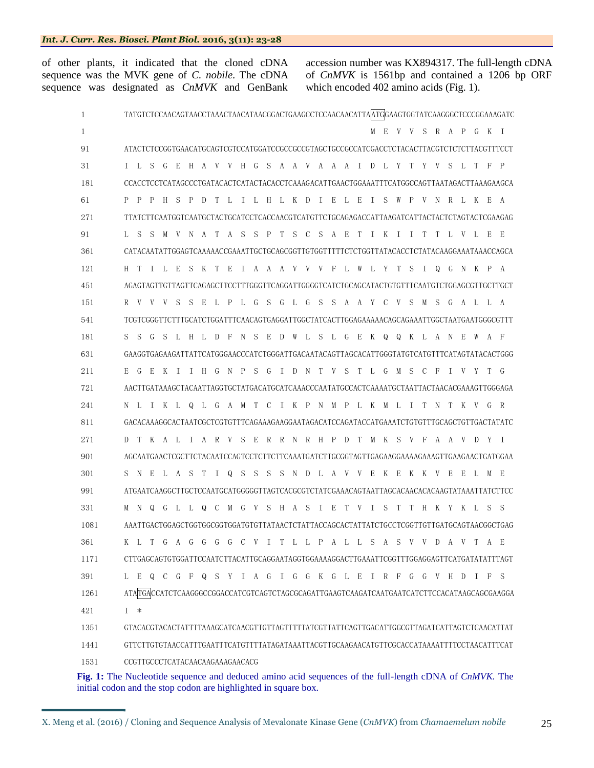of other plants, it indicated that the cloned cDNA sequence was the MVK gene of *C. nobile*. The cDNA sequence was designated as *CnMVK* and GenBank

accession number was KX894317. The full-length cDNA of *CnMVK* is 1561bp and contained a 1206 bp ORF which encoded 402 amino acids (Fig. 1).

| 1                         | TATGTCTCCAACAGTAACCTAAACTAACATAACGGACTGAAGCCTCCAACAACATTAATGGAAGTGGTATCAAGGGCTCCCGGAAAGATC |  |  |  |  |  |  |  |  |  |
|---------------------------|--------------------------------------------------------------------------------------------|--|--|--|--|--|--|--|--|--|
| 1                         | MEVVSRAPGKI                                                                                |  |  |  |  |  |  |  |  |  |
| 91                        | ATACTCTCCGGTGAACATGCAGTCGTCCATGGATCCGCCGCCGTAGCTGCCGCCATCGACCTCTACACTTACGTCTCTCTTACGTTTCCT |  |  |  |  |  |  |  |  |  |
| 31                        | I L S G E H A V V H G S A A V A A A I D L Y T Y V S L T F P                                |  |  |  |  |  |  |  |  |  |
| 181                       | CCACCTCCTCATAGCCCTGATACACTCATACTACACCTCAAAGACATTGAACTGGAAATTTCATGGCCAGTTAATAGACTTAAAGAAGCA |  |  |  |  |  |  |  |  |  |
| 61                        | P P P H S P D T L I L H L K D I E L E I S W P V N R L K E A                                |  |  |  |  |  |  |  |  |  |
| 271                       | TTATCTTCAATGGTCAATGCTACTGCATCCTCACCAACGTCATGTTCTGCAGAGACCATTAAGATCATTACTACTCTAGTACTCGAAGAG |  |  |  |  |  |  |  |  |  |
| 91                        | S M V N A T A S S P T S C S A E T I K I I T T L V L E E<br>L S                             |  |  |  |  |  |  |  |  |  |
| 361                       | CATACAATATTGGAGTCAAAAACCGAAATTGCTGCAGCGGTTGTGGTTTTTCTCTGGTTATACACCTCTATACAAGGAAATAAACCAGCA |  |  |  |  |  |  |  |  |  |
| 121                       | H T I L E S K T E I A A A V V V F L W L Y T S I O G N K P A                                |  |  |  |  |  |  |  |  |  |
| 451                       |                                                                                            |  |  |  |  |  |  |  |  |  |
| 151                       | PL G S<br>G L G S S A A Y C V S M S G A L L A<br>R V V V S S E L                           |  |  |  |  |  |  |  |  |  |
| 541                       |                                                                                            |  |  |  |  |  |  |  |  |  |
| 181                       | G S L H L D F N S E D W L S L G E K Q Q K L A N<br>S S<br>E W<br>A F                       |  |  |  |  |  |  |  |  |  |
| 631                       | GAAGGTGAGAAGATTATTCATGGGAACCCATCTGGGATTGACAATACAGTTAGCACATTGGGTATGTCATGTTTCATAGTATACACTGGG |  |  |  |  |  |  |  |  |  |
| 211                       | E G E K I I H G N P S G I D N T V S T L G M S C<br>- F<br>IVYTG                            |  |  |  |  |  |  |  |  |  |
| 721                       | AACTTGATAAAGCTACAATTAGGTGCTATGACATGCATCAAACCCAATATGCCACTCAAAATGCTAATTACTAACACGAAAGTTGGGAGA |  |  |  |  |  |  |  |  |  |
| 241                       | N L I K L Q L G A M T C I K P N M P L K M L I T N T K V G R                                |  |  |  |  |  |  |  |  |  |
| 811                       | GACACAAAGGCACTAATCGCTCGTGTTTCAGAAAGAAGGAATAGACATCCAGATACCATGAAATCTGTGTTTGCAGCTGTTGACTATATC |  |  |  |  |  |  |  |  |  |
| 271                       | D T K A L I A R V S E R R N R H P D T M K S V F A A V D Y I                                |  |  |  |  |  |  |  |  |  |
| 901                       | AGCAATGAACTCGCTTCTACAATCCAGTCCTCTTCTTCAAATGATCTTGCGGTAGTTGAGAAAGGAAAAGTTGAAGAACTGATGGAA    |  |  |  |  |  |  |  |  |  |
| 301                       | S N E L A S T I Q S S S S N D L A V V E K E K K V E E L M E                                |  |  |  |  |  |  |  |  |  |
| 991                       |                                                                                            |  |  |  |  |  |  |  |  |  |
| 331                       | M N Q G L L Q C M G V S H A S I E T V I S T T H K Y K L S S                                |  |  |  |  |  |  |  |  |  |
| 1081                      | AAATTGACTGGAGCTGGTGGCGGTGGATGTGTTATAACTCTATTACCAGCACTATTATCTGCCTCGGTTGTTGATGCAGTAACGGCTGAG |  |  |  |  |  |  |  |  |  |
| 361                       | K L T G A G G G G C V I T L L P A L L S A S V V D A V T A E                                |  |  |  |  |  |  |  |  |  |
| 1171                      | CTTGAGCAGTGTGGATTCCAATCTTACATTGCAGGAATAGGTGGAAAAGGACTTGAAATTCGGTTTGGAGGAGTTCATGATATATTTAGT |  |  |  |  |  |  |  |  |  |
| 391                       | L E Q C G F Q S Y I A G I G G K G L E I R F G G V H D I F S                                |  |  |  |  |  |  |  |  |  |
| 1261                      | ATATGACCATCTCAAGGGCCGGACCATCGTCAGTCTAGCGCAGATTGAAGTCAAGATCAATGAATCATCTTCCACATAAGCAGCGAAGGA |  |  |  |  |  |  |  |  |  |
| 421                       | $I *$                                                                                      |  |  |  |  |  |  |  |  |  |
| 1351                      | GTACACGTACACTATTTTAAAGCATCAACGTTGTTAGTTTTTATCGTTATTCAGTTGACATTGGCGTTAGATCATTAGTCTCAACATTAT |  |  |  |  |  |  |  |  |  |
| 1441                      | GTTCTTGTGTAACCATTTGAATTTCATGTTTTATAGATAAATTACGTTGCAAGAACATGTTCGCACCATAAAATTTTCCTAACATTTCAT |  |  |  |  |  |  |  |  |  |
| 1531                      | CCGTTGCCCTCATACAACAAGAAAGAACACG                                                            |  |  |  |  |  |  |  |  |  |
| $\mathbf{E}^2 \sim 1.$ Th | cognomes and deduced emine exid sequences of the full length eDNA of CuMIV The             |  |  |  |  |  |  |  |  |  |

**Fig. 1:** The Nucleotide sequence and deduced amino acid sequences of the full-length cDNA of *CnMVK.* The initial codon and the stop codon are highlighted in square box.

X. Meng et al. (2016) / Cloning and Sequence Analysis of Mevalonate Kinase Gene (*CnMVK*) from *Chamaemelum nobile* 25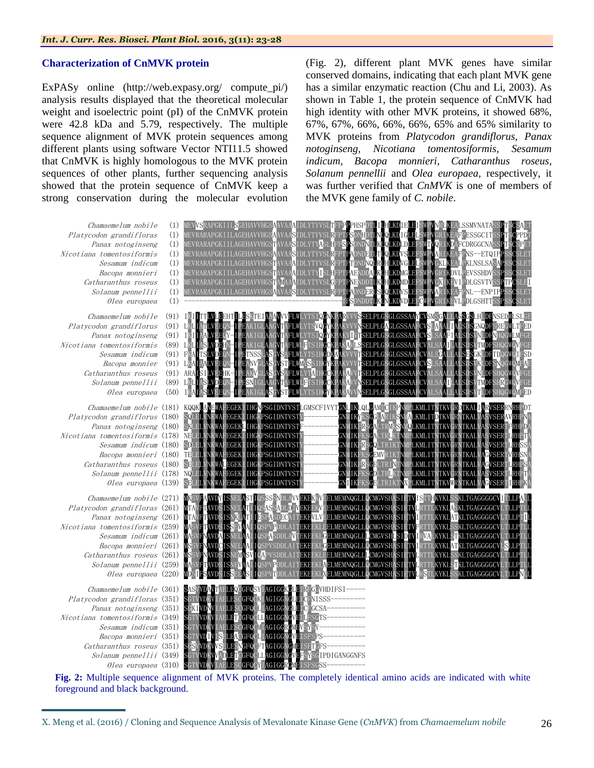### **Characterization of CnMVK protein**

ExPASy online (http://web.expasy.org/ compute\_pi/) analysis results displayed that the theoretical molecular weight and isoelectric point (pI) of the CnMVK protein were 42.8 kDa and 5.79, respectively. The multiple sequence alignment of MVK protein sequences among different plants using software Vector NTI11.5 showed that CnMVK is highly homologous to the MVK protein sequences of other plants, further sequencing analysis showed that the protein sequence of CnMVK keep a strong conservation during the molecular evolution

(Fig. 2), different plant MVK genes have similar conserved domains, indicating that each plant MVK gene has a similar enzymatic reaction (Chu and Li, 2003). As shown in Table 1, the protein sequence of CnMVK had high identity with other MVK proteins, it showed 68%, 67%, 67%, 66%, 66%, 66%, 65% and 65% similarity to MVK proteins from *Platycodon grandiflorus*, *Panax notoginseng, Nicotiana tomentosiformis, Sesamum indicum, Bacopa monnieri, Catharanthus roseus, Solanum pennellii* and *Olea europaea,* respectively, it was further verified that *CnMVK* is one of members of the MVK gene family of *C. nobile*.



**Fig. 2:** Multiple sequence alignment of MVK proteins. The completely identical amino acids are indicated with white foreground and black background.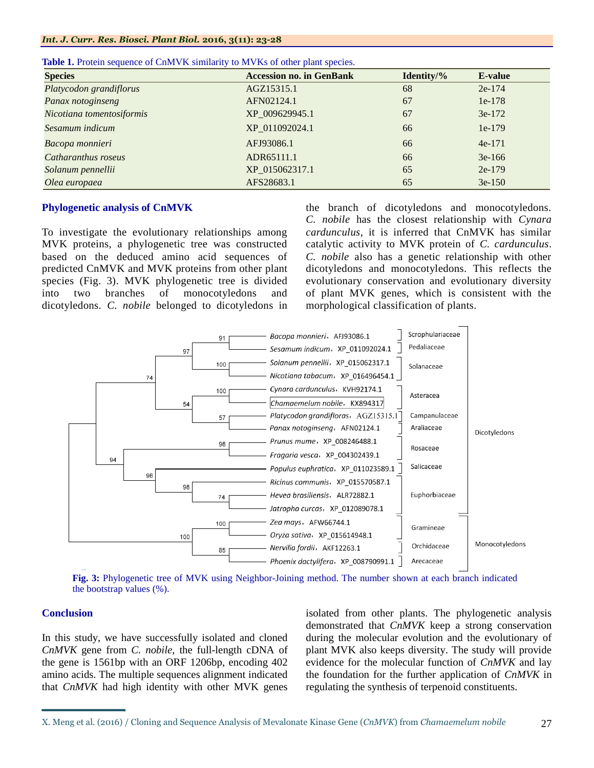| <b>Species</b>            | <b>Accession no. in GenBank</b> | Identity/% | E-value  |
|---------------------------|---------------------------------|------------|----------|
| Platycodon grandiflorus   | AGZ15315.1                      | 68         | $2e-174$ |
| Panax notoginseng         | AFN02124.1                      | 67         | $1e-178$ |
| Nicotiana tomentosiformis | XP 009629945.1                  | 67         | $3e-172$ |
| Sesamum indicum           | XP 011092024.1                  | 66         | $1e-179$ |
| Bacopa monnieri           | AFJ93086.1                      | 66         | $4e-171$ |
| Catharanthus roseus       | ADR65111.1                      | 66         | $3e-166$ |
| Solanum pennellii         | XP 015062317.1                  | 65         | $2e-179$ |
| Olea europaea             | AFS28683.1                      | 65         | $3e-150$ |

|  |  | <b>Table 1.</b> Protein sequence of CnMVK similarity to MVKs of other plant species. |  |  |  |  |  |  |
|--|--|--------------------------------------------------------------------------------------|--|--|--|--|--|--|
|--|--|--------------------------------------------------------------------------------------|--|--|--|--|--|--|

# **Phylogenetic analysis of CnMVK**

To investigate the evolutionary relationships among MVK proteins, a phylogenetic tree was constructed based on the deduced amino acid sequences of predicted CnMVK and MVK proteins from other plant species (Fig. 3). MVK phylogenetic tree is divided into two branches of monocotyledons and dicotyledons. *C. nobile* belonged to dicotyledons in the branch of dicotyledons and monocotyledons. *C. nobile* has the closest relationship with *Cynara cardunculus*, it is inferred that CnMVK has similar catalytic activity to MVK protein of *C. cardunculus*. *C. nobile* also has a genetic relationship with other dicotyledons and monocotyledons. This reflects the evolutionary conservation and evolutionary diversity of plant MVK genes, which is consistent with the morphological classification of plants.



**Fig. 3:** Phylogenetic tree of MVK using Neighbor-Joining method. The number shown at each branch indicated the bootstrap values (%).

# **Conclusion**

In this study, we have successfully isolated and cloned *CnMVK* gene from *C. nobile*, the full-length cDNA of the gene is 1561bp with an ORF 1206bp, encoding 402 amino acids. The multiple sequences alignment indicated that *CnMVK* had high identity with other MVK genes

isolated from other plants. The phylogenetic analysis demonstrated that *CnMVK* keep a strong conservation during the molecular evolution and the evolutionary of plant MVK also keeps diversity. The study will provide evidence for the molecular function of *CnMVK* and lay the foundation for the further application of *CnMVK* in regulating the synthesis of terpenoid constituents.

X. Meng et al. (2016) / Cloning and Sequence Analysis of Mevalonate Kinase Gene (*CnMVK*) from *Chamaemelum nobile* 27